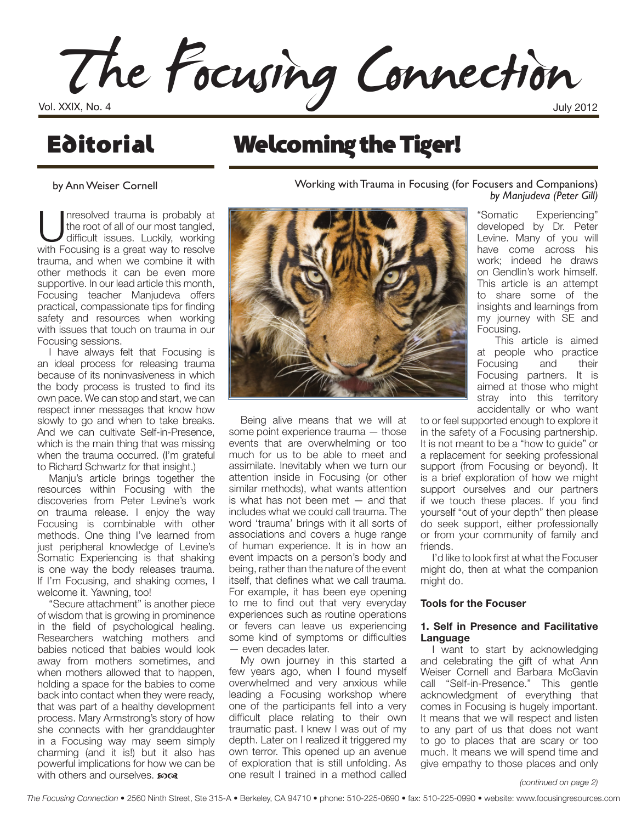The Focusing Connection

## **Editorial**

### Welcoming the Tiger!

by Ann Weiser Cornell

Inresolved trauma is probably at<br>the root of all of our most tangled,<br>difficult issues. Luckily, working<br>with Eocusing is a great way to resolve the root of all of our most tangled, with Focusing is a great way to resolve trauma, and when we combine it with other methods it can be even more supportive. In our lead article this month, Focusing teacher Manjudeva offers practical, compassionate tips for finding safety and resources when working with issues that touch on trauma in our Focusing sessions.

I have always felt that Focusing is an ideal process for releasing trauma because of its noninvasiveness in which the body process is trusted to find its own pace. We can stop and start, we can respect inner messages that know how slowly to go and when to take breaks. And we can cultivate Self-in-Presence, which is the main thing that was missing when the trauma occurred. (I'm grateful to Richard Schwartz for that insight.)

Manju's article brings together the resources within Focusing with the discoveries from Peter Levine's work on trauma release. I enjoy the way Focusing is combinable with other methods. One thing I've learned from just peripheral knowledge of Levine's Somatic Experiencing is that shaking is one way the body releases trauma. If I'm Focusing, and shaking comes, I welcome it. Yawning, too!

"Secure attachment" is another piece of wisdom that is growing in prominence in the field of psychological healing. Researchers watching mothers and babies noticed that babies would look away from mothers sometimes, and when mothers allowed that to happen, holding a space for the babies to come back into contact when they were ready, that was part of a healthy development process. Mary Armstrong's story of how she connects with her granddaughter in a Focusing way may seem simply charming (and it is!) but it also has powerful implications for how we can be with others and ourselves.  $\mathbf{\Omega}$ 

Working with Trauma in Focusing (for Focusers and Companions) *by Manjudeva (Peter Gill)*



Being alive means that we will at some point experience trauma — those events that are overwhelming or too much for us to be able to meet and assimilate. Inevitably when we turn our attention inside in Focusing (or other similar methods), what wants attention is what has not been met — and that includes what we could call trauma. The word 'trauma' brings with it all sorts of associations and covers a huge range of human experience. It is in how an event impacts on a person's body and being, rather than the nature of the event itself, that defines what we call trauma. For example, it has been eye opening to me to find out that very everyday experiences such as routine operations or fevers can leave us experiencing some kind of symptoms or difficulties — even decades later.

My own journey in this started a few years ago, when I found myself overwhelmed and very anxious while leading a Focusing workshop where one of the participants fell into a very difficult place relating to their own traumatic past. I knew I was out of my depth. Later on I realized it triggered my own terror. This opened up an avenue of exploration that is still unfolding. As one result I trained in a method called

"Somatic Experiencing" developed by Dr. Peter Levine. Many of you will have come across his work; indeed he draws on Gendlin's work himself. This article is an attempt to share some of the insights and learnings from my journey with SE and Focusing.

This article is aimed at people who practice Focusing and their Focusing partners. It is aimed at those who might stray into this territory accidentally or who want

to or feel supported enough to explore it in the safety of a Focusing partnership. It is not meant to be a "how to guide" or a replacement for seeking professional support (from Focusing or beyond). It is a brief exploration of how we might support ourselves and our partners if we touch these places. If you find yourself "out of your depth" then please do seek support, either professionally or from your community of family and friends.

I'd like to look first at what the Focuser might do, then at what the companion might do.

#### **Tools for the Focuser**

#### **1. Self in Presence and Facilitative Language**

I want to start by acknowledging and celebrating the gift of what Ann Weiser Cornell and Barbara McGavin call "Self-in-Presence." This gentle acknowledgment of everything that comes in Focusing is hugely important. It means that we will respect and listen to any part of us that does not want to go to places that are scary or too much. It means we will spend time and give empathy to those places and only

*(continued on page 2)*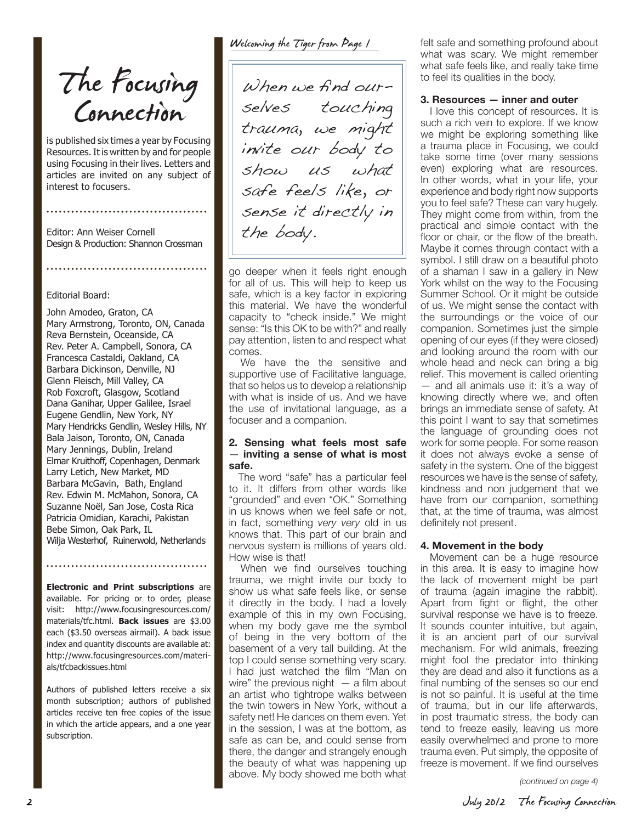The Focusing<br>Connection

is published six times a year by Focusing Resources. It is written by and for people using Focusing in their lives. Letters and articles are invited on any subject of interest to focusers.

Editor: Ann Weiser Cornell Design & Production: Shannon Crossman

#### Editorial Board:

John Amodeo, Graton, CA Mary Armstrong, Toronto, ON, Canada Reva Bernstein, Oceanside, CA Rev. Peter A. Campbell, Sonora, CA Francesca Castaldi, Oakland, CA Barbara Dickinson, Denville, NJ Glenn Fleisch, Mill Valley, CA Rob Foxcroft, Glasgow, Scotland Dana Ganihar, Upper Galilee, Israel Eugene Gendlin, New York, NY Mary Hendricks Gendlin, Wesley Hills, NY Bala Jaison, Toronto, ON, Canada Mary Jennings, Dublin, Ireland Elmar Kruithoff, Copenhagen, Denmark Larry Letich, New Market, MD Barbara McGavin, Bath, England Rev. Edwin M. McMahon, Sonora, CA Suzanne Noël, San Jose, Costa Rica Patricia Omidian, Karachi, Pakistan Bebe Simon, Oak Park, IL Wilja Westerhof, Ruinerwold, Netherlands

**Electronic and Print subscriptions** are available. For pricing or to order, please visit: http://www.focusingresources.com/ materials/tfc.html. **Back issues** are \$3.00 each (\$3.50 overseas airmail). A back issue index and quantity discounts are available at: http://www.focusingresources.com/materials/tfcbackissues.html

Authors of published letters receive a six month subscription; authors of published articles receive ten free copies of the issue in which the article appears, and a one year subscription.

Welcoming the Tiger from Page 1

When we find ourselves touching trauma, we might invite our body to show us what safe feels like, or sense it directly in the body.

go deeper when it feels right enough for all of us. This will help to keep us safe, which is a key factor in exploring this material. We have the wonderful capacity to "check inside." We might sense: "Is this OK to be with?" and really pay attention, listen to and respect what comes.

We have the the sensitive and supportive use of Facilitative language, that so helps us to develop a relationship with what is inside of us. And we have the use of invitational language, as a focuser and a companion.

#### **2. Sensing what feels most safe**  — **inviting a sense of what is most safe.**

The word "safe" has a particular feel to it. It differs from other words like "grounded" and even "OK." Something in us knows when we feel safe or not, in fact, something *very very* old in us knows that. This part of our brain and nervous system is millions of years old. How wise is that!

When we find ourselves touching trauma, we might invite our body to show us what safe feels like, or sense it directly in the body. I had a lovely example of this in my own Focusing, when my body gave me the symbol of being in the very bottom of the basement of a very tall building. At the top I could sense something very scary. I had just watched the film "Man on wire" the previous night  $-$  a film about an artist who tightrope walks between the twin towers in New York, without a safety net! He dances on them even. Yet in the session, I was at the bottom, as safe as can be, and could sense from there, the danger and strangely enough the beauty of what was happening up above. My body showed me both what

felt safe and something profound about what was scary. We might remember what safe feels like, and really take time to feel its qualities in the body.

#### **3. Resources — inner and outer**

I love this concept of resources. It is such a rich vein to explore. If we know we might be exploring something like a trauma place in Focusing, we could take some time (over many sessions even) exploring what are resources. In other words, what in your life, your experience and body right now supports you to feel safe? These can vary hugely. They might come from within, from the practical and simple contact with the floor or chair, or the flow of the breath. Maybe it comes through contact with a symbol. I still draw on a beautiful photo of a shaman I saw in a gallery in New York whilst on the way to the Focusing Summer School. Or it might be outside of us. We might sense the contact with the surroundings or the voice of our companion. Sometimes just the simple opening of our eyes (if they were closed) and looking around the room with our whole head and neck can bring a big relief. This movement is called orienting — and all animals use it: it's a way of knowing directly where we, and often brings an immediate sense of safety. At this point I want to say that sometimes the language of grounding does not work for some people. For some reason it does not always evoke a sense of safety in the system. One of the biggest resources we have is the sense of safety, kindness and non judgement that we have from our companion, something that, at the time of trauma, was almost definitely not present.

#### **4. Movement in the body**

Movement can be a huge resource in this area. It is easy to imagine how the lack of movement might be part of trauma (again imagine the rabbit). Apart from fight or flight, the other survival response we have is to freeze. It sounds counter intuitive, but again, it is an ancient part of our survival mechanism. For wild animals, freezing might fool the predator into thinking they are dead and also it functions as a final numbing of the senses so our end is not so painful. It is useful at the time of trauma, but in our life afterwards, in post traumatic stress, the body can tend to freeze easily, leaving us more easily overwhelmed and prone to more trauma even. Put simply, the opposite of freeze is movement. If we find ourselves

*(continued on page 4)*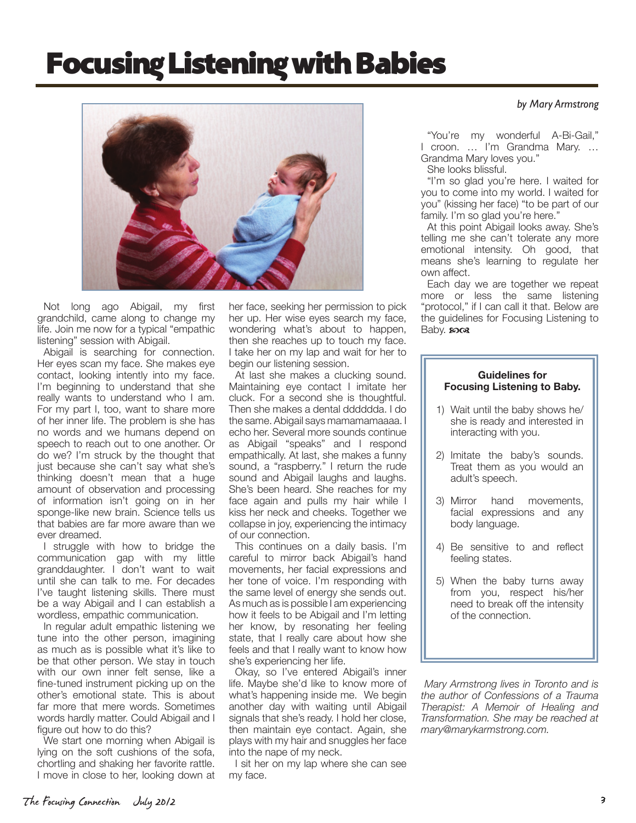# Focusing Listening with Babies



Not long ago Abigail, my first grandchild, came along to change my life. Join me now for a typical "empathic listening" session with Abigail.

Abigail is searching for connection. Her eyes scan my face. She makes eye contact, looking intently into my face. I'm beginning to understand that she really wants to understand who I am. For my part I, too, want to share more of her inner life. The problem is she has no words and we humans depend on speech to reach out to one another. Or do we? I'm struck by the thought that just because she can't say what she's thinking doesn't mean that a huge amount of observation and processing of information isn't going on in her sponge-like new brain. Science tells us that babies are far more aware than we ever dreamed.

I struggle with how to bridge the communication gap with my little granddaughter. I don't want to wait until she can talk to me. For decades I've taught listening skills. There must be a way Abigail and I can establish a wordless, empathic communication.

In regular adult empathic listening we tune into the other person, imagining as much as is possible what it's like to be that other person. We stay in touch with our own inner felt sense, like a fine-tuned instrument picking up on the other's emotional state. This is about far more that mere words. Sometimes words hardly matter. Could Abigail and I figure out how to do this?

We start one morning when Abigail is lying on the soft cushions of the sofa, chortling and shaking her favorite rattle. I move in close to her, looking down at her face, seeking her permission to pick her up. Her wise eyes search my face, wondering what's about to happen, then she reaches up to touch my face. I take her on my lap and wait for her to begin our listening session.

At last she makes a clucking sound. Maintaining eye contact I imitate her cluck. For a second she is thoughtful. Then she makes a dental dddddda. I do the same. Abigail says mamamamaaaa. I echo her. Several more sounds continue as Abigail "speaks" and I respond empathically. At last, she makes a funny sound, a "raspberry." I return the rude sound and Abigail laughs and laughs. She's been heard. She reaches for my face again and pulls my hair while I kiss her neck and cheeks. Together we collapse in joy, experiencing the intimacy of our connection.

This continues on a daily basis. I'm careful to mirror back Abigail's hand movements, her facial expressions and her tone of voice. I'm responding with the same level of energy she sends out. As much as is possible I am experiencing how it feels to be Abigail and I'm letting her know, by resonating her feeling state, that I really care about how she feels and that I really want to know how she's experiencing her life.

Okay, so I've entered Abigail's inner life. Maybe she'd like to know more of what's happening inside me. We begin another day with waiting until Abigail signals that she's ready. I hold her close, then maintain eye contact. Again, she plays with my hair and snuggles her face into the nape of my neck.

I sit her on my lap where she can see my face.

#### *by Mary Armstrong*

"You're my wonderful A-Bi-Gail," I croon. … I'm Grandma Mary. … Grandma Mary loves you."

She looks blissful.

"I'm so glad you're here. I waited for you to come into my world. I waited for you" (kissing her face) "to be part of our family. I'm so glad you're here."

At this point Abigail looks away. She's telling me she can't tolerate any more emotional intensity. Oh good, that means she's learning to regulate her own affect.

Each day we are together we repeat more or less the same listening "protocol," if I can call it that. Below are the guidelines for Focusing Listening to  $B$ aby.  $x \circ \alpha$ 

#### **Guidelines for Focusing Listening to Baby.**

- 1) Wait until the baby shows he/ she is ready and interested in interacting with you.
- 2) Imitate the baby's sounds. Treat them as you would an adult's speech.
- 3) Mirror hand movements, facial expressions and any body language.
- 4) Be sensitive to and reflect feeling states.
- 5) When the baby turns away from you, respect his/her need to break off the intensity of the connection.

 *Mary Armstrong lives in Toronto and is the author of Confessions of a Trauma Therapist: A Memoir of Healing and Transformation. She may be reached at mary@marykarmstrong.com.*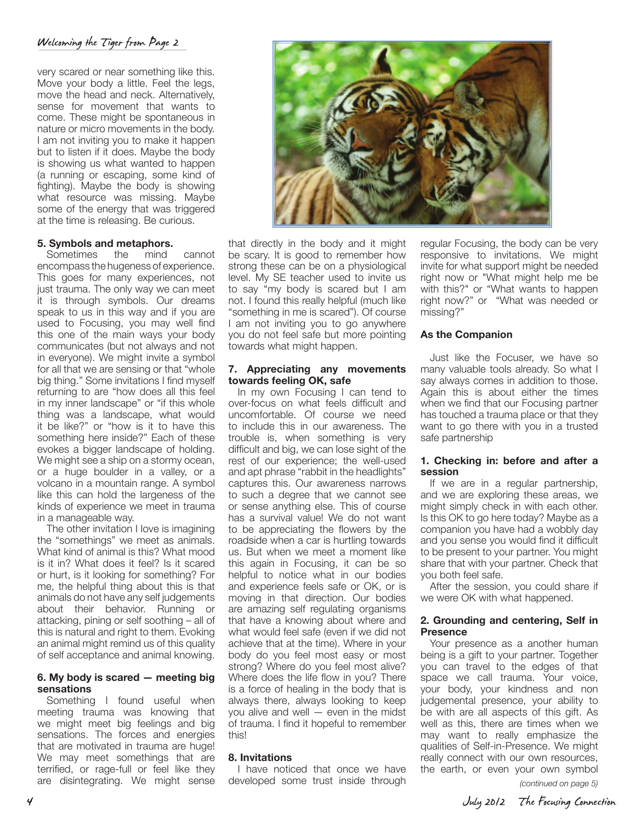#### Welcoming the Tiger from Page 2

very scared or near something like this. Move your body a little. Feel the legs, move the head and neck. Alternatively, sense for movement that wants to come. These might be spontaneous in nature or micro movements in the body. I am not inviting you to make it happen but to listen if it does. Maybe the body is showing us what wanted to happen (a running or escaping, some kind of fighting). Maybe the body is showing what resource was missing. Maybe some of the energy that was triggered at the time is releasing. Be curious.

#### **5. Symbols and metaphors.**

Sometimes the mind cannot encompass the hugeness of experience. This goes for many experiences, not just trauma. The only way we can meet it is through symbols. Our dreams speak to us in this way and if you are used to Focusing, you may well find this one of the main ways your body communicates (but not always and not in everyone). We might invite a symbol for all that we are sensing or that "whole big thing." Some invitations I find myself returning to are "how does all this feel in my inner landscape" or "if this whole thing was a landscape, what would it be like?" or "how is it to have this something here inside?" Each of these evokes a bigger landscape of holding. We might see a ship on a stormy ocean, or a huge boulder in a valley, or a volcano in a mountain range. A symbol like this can hold the largeness of the kinds of experience we meet in trauma in a manageable way.

The other invitation I love is imagining the "somethings" we meet as animals. What kind of animal is this? What mood is it in? What does it feel? Is it scared or hurt, is it looking for something? For me, the helpful thing about this is that animals do not have any self judgements about their behavior. Running or attacking, pining or self soothing – all of this is natural and right to them. Evoking an animal might remind us of this quality of self acceptance and animal knowing.

#### **6. My body is scared — meeting big sensations**

Something I found useful when meeting trauma was knowing that we might meet big feelings and big sensations. The forces and energies that are motivated in trauma are huge! We may meet somethings that are terrified, or rage-full or feel like they are disintegrating. We might sense



that directly in the body and it might be scary. It is good to remember how strong these can be on a physiological level. My SE teacher used to invite us to say "my body is scared but I am not. I found this really helpful (much like "something in me is scared"). Of course I am not inviting you to go anywhere you do not feel safe but more pointing towards what might happen.

#### **7. Appreciating any movements towards feeling OK, safe**

In my own Focusing I can tend to over-focus on what feels difficult and uncomfortable. Of course we need to include this in our awareness. The trouble is, when something is very difficult and big, we can lose sight of the rest of our experience; the well-used and apt phrase "rabbit in the headlights" captures this. Our awareness narrows to such a degree that we cannot see or sense anything else. This of course has a survival value! We do not want to be appreciating the flowers by the roadside when a car is hurtling towards us. But when we meet a moment like this again in Focusing, it can be so helpful to notice what in our bodies and experience feels safe or OK, or is moving in that direction. Our bodies are amazing self regulating organisms that have a knowing about where and what would feel safe (even if we did not achieve that at the time). Where in your body do you feel most easy or most strong? Where do you feel most alive? Where does the life flow in you? There is a force of healing in the body that is always there, always looking to keep you alive and well — even in the midst of trauma. I find it hopeful to remember this!

#### **8. Invitations**

I have noticed that once we have developed some trust inside through

regular Focusing, the body can be very responsive to invitations. We might invite for what support might be needed right now or "What might help me be with this?" or "What wants to happen right now?" or "What was needed or missing?"

#### **As the Companion**

Just like the Focuser, we have so many valuable tools already. So what I say always comes in addition to those. Again this is about either the times when we find that our Focusing partner has touched a trauma place or that they want to go there with you in a trusted safe partnership

#### **1. Checking in: before and after a session**

If we are in a regular partnership, and we are exploring these areas, we might simply check in with each other. Is this OK to go here today? Maybe as a companion you have had a wobbly day and you sense you would find it difficult to be present to your partner. You might share that with your partner. Check that you both feel safe.

After the session, you could share if we were OK with what happened.

#### **2. Grounding and centering, Self in Presence**

Your presence as a another human being is a gift to your partner. Together you can travel to the edges of that space we call trauma. Your voice, your body, your kindness and non judgemental presence, your ability to be with are all aspects of this gift. As well as this, there are times when we may want to really emphasize the qualities of Self-in-Presence. We might really connect with our own resources, the earth, or even your own symbol

*(continued on page 5)*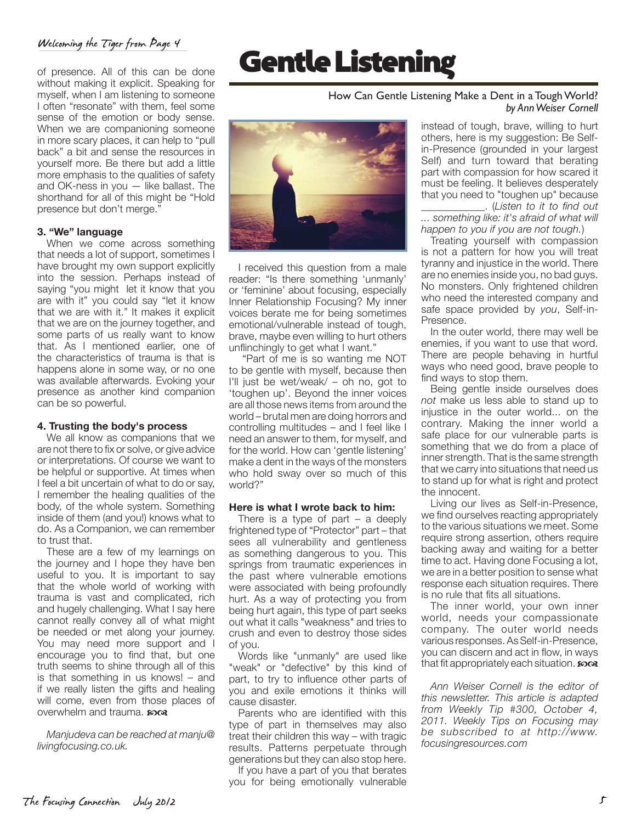#### Welcoming the Tiger from Page 4

of presence. All of this can be done without making it explicit. Speaking for myself, when I am listening to someone I often "resonate" with them, feel some sense of the emotion or body sense. When we are companioning someone in more scary places, it can help to "pull back" a bit and sense the resources in yourself more. Be there but add a little more emphasis to the qualities of safety and OK-ness in you — like ballast. The shorthand for all of this might be "Hold presence but don't merge."

#### **3. "We" language**

When we come across something that needs a lot of support, sometimes I have brought my own support explicitly into the session. Perhaps instead of saying "you might let it know that you are with it" you could say "let it know that we are with it." It makes it explicit that we are on the journey together, and some parts of us really want to know that. As I mentioned earlier, one of the characteristics of trauma is that is happens alone in some way, or no one was available afterwards. Evoking your presence as another kind companion can be so powerful.

#### **4. Trusting the body's process**

We all know as companions that we are not there to fix or solve, or give advice or interpretations. Of course we want to be helpful or supportive. At times when I feel a bit uncertain of what to do or say, I remember the healing qualities of the body, of the whole system. Something inside of them (and you!) knows what to do. As a Companion, we can remember to trust that.

These are a few of my learnings on the journey and I hope they have ben useful to you. It is important to say that the whole world of working with trauma is vast and complicated, rich and hugely challenging. What I say here cannot really convey all of what might be needed or met along your journey. You may need more support and I encourage you to find that, but one truth seems to shine through all of this is that something in us knows! – and if we really listen the gifts and healing will come, even from those places of overwhelm and trauma.  $\mathbf{z}$ 

*Manjudeva can be reached at manju@ livingfocusing.co.uk.*

## Gentle Listening

#### How Can Gentle Listening Make a Dent in a Tough World? *by Ann Weiser Cornell*

I received this question from a male reader: "Is there something 'unmanly' or 'feminine' about focusing, especially Inner Relationship Focusing? My inner voices berate me for being sometimes emotional/vulnerable instead of tough, brave, maybe even willing to hurt others unflinchingly to get what I want."

"Part of me is so wanting me NOT to be gentle with myself, because then I'll just be wet/weak/ – oh no, got to 'toughen up'. Beyond the inner voices are all those news items from around the world – brutal men are doing horrors and controlling multitudes – and I feel like I need an answer to them, for myself, and for the world. How can 'gentle listening' make a dent in the ways of the monsters who hold sway over so much of this world?"

#### **Here is what I wrote back to him:**

There is a type of part – a deeply frightened type of "Protector" part – that sees all vulnerability and gentleness as something dangerous to you. This springs from traumatic experiences in the past where vulnerable emotions were associated with being profoundly hurt. As a way of protecting you from being hurt again, this type of part seeks out what it calls "weakness" and tries to crush and even to destroy those sides of you.

Words like "unmanly" are used like "weak" or "defective" by this kind of part, to try to influence other parts of you and exile emotions it thinks will cause disaster.

Parents who are identified with this type of part in themselves may also treat their children this way – with tragic results. Patterns perpetuate through generations but they can also stop here.

If you have a part of you that berates you for being emotionally vulnerable instead of tough, brave, willing to hurt others, here is my suggestion: Be Selfin-Presence (grounded in your largest Self) and turn toward that berating part with compassion for how scared it must be feeling. It believes desperately that you need to "toughen up" because \_\_\_\_\_\_\_\_\_\_\_\_. (*Listen to it to find out* 

*... something like: it's afraid of what will happen to you if you are not tough.*)

Treating yourself with compassion is not a pattern for how you will treat tyranny and injustice in the world. There are no enemies inside you, no bad guys. No monsters. Only frightened children who need the interested company and safe space provided by *you*, Self-in-Presence.

In the outer world, there may well be enemies, if you want to use that word. There are people behaving in hurtful ways who need good, brave people to find ways to stop them.

Being gentle inside ourselves does *not* make us less able to stand up to injustice in the outer world... on the contrary. Making the inner world a safe place for our vulnerable parts is something that we do from a place of inner strength. That is the same strength that we carry into situations that need us to stand up for what is right and protect the innocent.

Living our lives as Self-in-Presence, we find ourselves reacting appropriately to the various situations we meet. Some require strong assertion, others require backing away and waiting for a better time to act. Having done Focusing a lot, we are in a better position to sense what response each situation requires. There is no rule that fits all situations.

The inner world, your own inner world, needs your compassionate company. The outer world needs various responses. As Self-in-Presence, you can discern and act in flow, in ways that fit appropriately each situation.  $\mathbf{z}$ 

*Ann Weiser Cornell is the editor of this newsletter. This article is adapted from Weekly Tip #300, October 4, 2011. Weekly Tips on Focusing may be subscribed to at http://www. focusingresources.com*